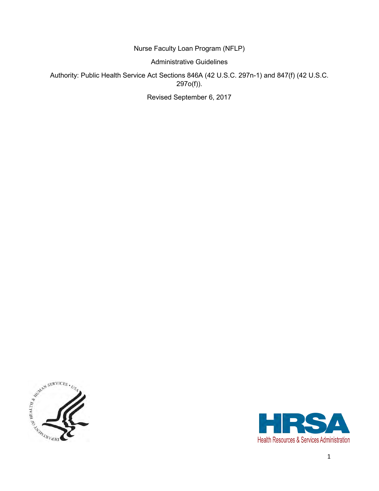Nurse Faculty Loan Program (NFLP)

Administrative Guidelines

Authority: Public Health Service Act Sections 846A (42 U.S.C. 297n-1) and 847(f) (42 U.S.C. 297o(f)).

Revised September 6, 2017



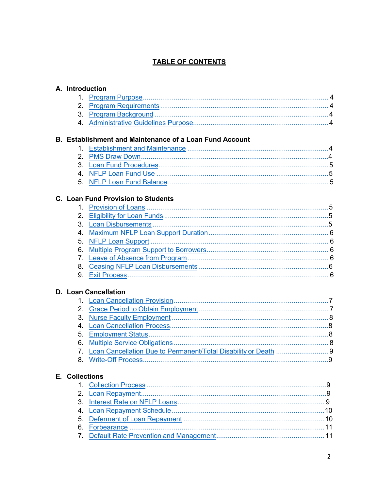#### **TABLE OF CONTENTS**

|  | A. Introduction |  |
|--|-----------------|--|
|--|-----------------|--|

|  | <b>B. Establishment and Maintenance of a Loan Fund Account</b> |  |
|--|----------------------------------------------------------------|--|
|  |                                                                |  |
|  |                                                                |  |

### C. Loan Fund Provision to Students

## D. Loan Cancellation

# E. Collections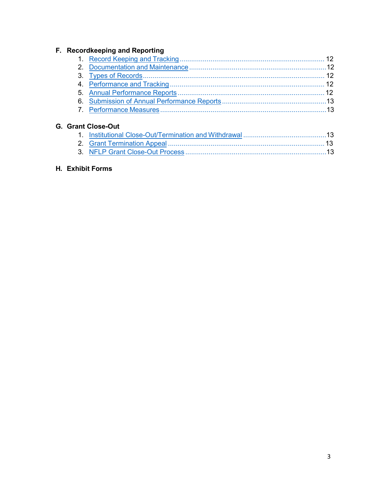#### **F. Recordkeeping and Reporting**

### **G. Grant [Close-Out](#page-12-2)**

## **H. Exhibit Forms**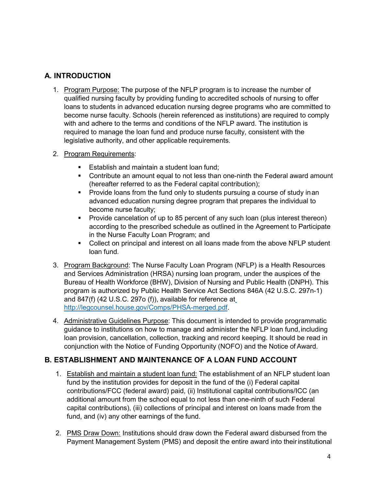## <span id="page-3-0"></span>**A. INTRODUCTION**

- 1. Program Purpose: The purpose of the NFLP program is to increase the number of qualified nursing faculty by providing funding to accredited schools of nursing to offer loans to students in advanced education nursing degree programs who are committed to become nurse faculty. Schools (herein referenced as institutions) are required to comply with and adhere to the terms and conditions of the NFLP award. The institution is required to manage the loan fund and produce nurse faculty, consistent with the legislative authority, and other applicable requirements.
- <span id="page-3-1"></span>2. Program Requirements:
	- **Establish and maintain a student loan fund;**
	- Contribute an amount equal to not less than one-ninth the Federal award amount (hereafter referred to as the Federal capital contribution);
	- **Provide loans from the fund only to students pursuing a course of study inan** advanced education nursing degree program that prepares the individual to become nurse faculty;
	- **Provide cancelation of up to 85 percent of any such loan (plus interest thereon)** according to the prescribed schedule as outlined in the Agreement to Participate in the Nurse Faculty Loan Program; and
	- Collect on principal and interest on all loans made from the above NFLP student loan fund.
- <span id="page-3-2"></span>3. Program Background: The Nurse Faculty Loan Program (NFLP) is a Health Resources and Services Administration (HRSA) nursing loan program, under the auspices of the Bureau of Health Workforce (BHW), Division of Nursing and Public Health (DNPH). This program is authorized by Public Health Service Act Sections 846A (42 U.S.C. 297n-1) and 847(f) (42 U.S.C. 297o (f)), available for reference a[t](http://legcounsel.house.gov/Comps/PHSA-merged.pdf) [http://legcounsel.house.gov/Comps/PHSA-merged.pdf.](http://legcounsel.house.gov/Comps/PHSA-merged.pdf)
- <span id="page-3-3"></span>4. Administrative Guidelines Purpose: This document is intended to provide programmatic guidance to institutions on how to manage and administer the NFLP loan fund,including loan provision, cancellation, collection, tracking and record keeping. It should be read in conjunction with the Notice of Funding Opportunity (NOFO) and the Notice of Award.

#### <span id="page-3-5"></span><span id="page-3-4"></span>**B. ESTABLISHMENT AND MAINTENANCE OF A LOAN FUND ACCOUNT**

- 1. Establish and maintain a student loan fund: The establishment of an NFLP student loan fund by the institution provides for deposit in the fund of the (i) Federal capital contributions/FCC (federal award) paid, (ii) Institutional capital contributions/ICC (an additional amount from the school equal to not less than one-ninth of such Federal capital contributions), (iii) collections of principal and interest on loans made from the fund, and (iv) any other earnings of the fund.
- <span id="page-3-6"></span>2. PMS Draw Down: Institutions should draw down the Federal award disbursed from the Payment Management System (PMS) and deposit the entire award into their institutional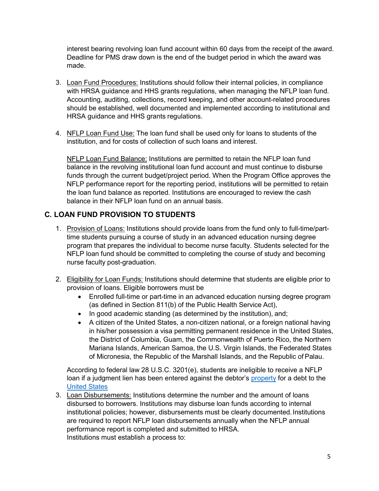interest bearing revolving loan fund account within 60 days from the receipt of the award. Deadline for PMS draw down is the end of the budget period in which the award was made.

- <span id="page-4-0"></span>3. Loan Fund Procedures: Institutions should follow their internal policies, in compliance with HRSA guidance and HHS grants regulations, when managing the NFLP loan fund. Accounting, auditing, collections, record keeping, and other account-related procedures should be established, well documented and implemented according to institutional and HRSA guidance and HHS grants regulations.
- <span id="page-4-2"></span><span id="page-4-1"></span>4. NFLP Loan Fund Use: The loan fund shall be used only for loans to students of the institution, and for costs of collection of such loans and interest.

NFLP Loan Fund Balance: Institutions are permitted to retain the NFLP loan fund balance in the revolving institutional loan fund account and must continue to disburse funds through the current budget/project period. When the Program Office approves the NFLP performance report for the reporting period, institutions will be permitted to retain the loan fund balance as reported. Institutions are encouraged to review the cash balance in their NFLP loan fund on an annual basis.

#### <span id="page-4-4"></span><span id="page-4-3"></span>**C. LOAN FUND PROVISION TO STUDENTS**

- 1. Provision of Loans: Institutions should provide loans from the fund only to full-time/parttime students pursuing a course of study in an advanced education nursing degree program that prepares the individual to become nurse faculty. Students selected for the NFLP loan fund should be committed to completing the course of study and becoming nurse faculty post-graduation.
- <span id="page-4-5"></span>2. Eligibility for Loan Funds: Institutions should determine that students are eligible prior to provision of loans. Eligible borrowers must be
	- Enrolled full-time or part-time in an advanced education nursing degree program (as defined in Section 811(b) of the Public Health Service Act),
	- In good academic standing (as determined by the institution), and;
	- A citizen of the United States, a non-citizen national, or a foreign national having in his/her possession a visa permitting permanent residence in the United States, the District of Columbia, Guam, the Commonwealth of Puerto Rico, the Northern Mariana Islands, American Samoa, the U.S. Virgin Islands, the Federated States of Micronesia, the Republic of the Marshall Islands, and the Republic of Palau.

According to federal law 28 U.S.C. 3201(e), students are ineligible to receive a NFLP loan if a judgment lien has been entered against the debtor's [property](https://www.law.cornell.edu/definitions/uscode.php?width=840&height=800&iframe=true&def_id=28-USC-928497163-15940182&term_occur=78&term_src=title%3A28%3Apart%3AVI%3Achapter%3A176%3Asubchapter%3AC%3Asection%3A3201) for a debt to the [United States](https://www.law.cornell.edu/definitions/uscode.php?width=840&height=800&iframe=true&def_id=28-USC-2032517217-15940179&term_occur=86&term_src=title%3A28%3Apart%3AVI%3Achapter%3A176%3Asubchapter%3AC%3Asection%3A3201)

<span id="page-4-6"></span>3. Loan Disbursements: Institutions determine the number and the amount of loans disbursed to borrowers. Institutions may disburse loan funds according to internal institutional policies; however, disbursements must be clearly documented. Institutions are required to report NFLP loan disbursements annually when the NFLP annual performance report is completed and submitted to HRSA. Institutions must establish a process to: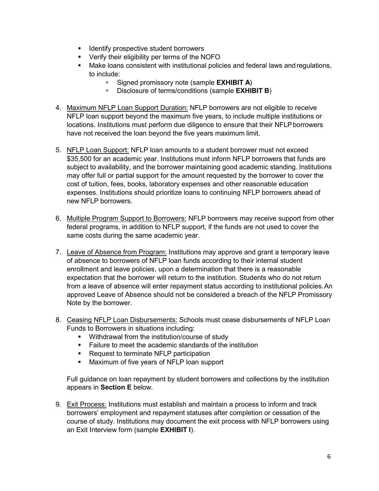- **IDENTIFY PROPERTY IDENTIFY IDENTIFY IDENTIFY**
- **•** Verify their eligibility per terms of the NOFO
- Make loans consistent with institutional policies and federal laws andregulations, to include:
	- Signed promissory note (sample **EXHIBIT A**)
	- Disclosure of terms/conditions (sample **EXHIBIT B**)
- <span id="page-5-0"></span>4. Maximum NFLP Loan Support Duration: NFLP borrowers are not eligible to receive NFLP loan support beyond the maximum five years, to include multiple institutions or locations. Institutions must perform due diligence to ensure that their NFLP borrowers have not received the loan beyond the five years maximum limit.
- <span id="page-5-1"></span>5. NFLP Loan Support: NFLP loan amounts to a student borrower must not exceed \$35,500 for an academic year. Institutions must inform NFLP borrowers that funds are subject to availability, and the borrower maintaining good academic standing. Institutions may offer full or partial support for the amount requested by the borrower to cover the cost of tuition, fees, books, laboratory expenses and other reasonable education expenses. Institutions should prioritize loans to continuing NFLP borrowers ahead of new NFLP borrowers.
- <span id="page-5-2"></span>6. Multiple Program Support to Borrowers: NFLP borrowers may receive support from other federal programs, in addition to NFLP support, if the funds are not used to cover the same costs during the same academic year.
- <span id="page-5-3"></span>7. Leave of Absence from Program: Institutions may approve and grant a temporary leave of absence to borrowers of NFLP loan funds according to their internal student enrollment and leave policies, upon a determination that there is a reasonable expectation that the borrower will return to the institution. Students who do not return from a leave of absence will enter repayment status according to institutional policies.An approved Leave of Absence should not be considered a breach of the NFLP Promissory Note by the borrower.
- <span id="page-5-4"></span>8. Ceasing NFLP Loan Disbursements: Schools must cease disbursements of NFLP Loan Funds to Borrowers in situations including:
	- **Withdrawal from the institution/course of study**
	- Failure to meet the academic standards of the institution
	- **Request to terminate NFLP participation**
	- **Maximum of five years of NFLP loan support**

Full guidance on loan repayment by student borrowers and collections by the institution appears in **Section E** below.

<span id="page-5-5"></span>9. Exit Process: Institutions must establish and maintain a process to inform and track borrowers' employment and repayment statuses after completion or cessation of the course of study. Institutions may document the exit process with NFLP borrowers using an Exit Interview form (sample **EXHIBIT I**).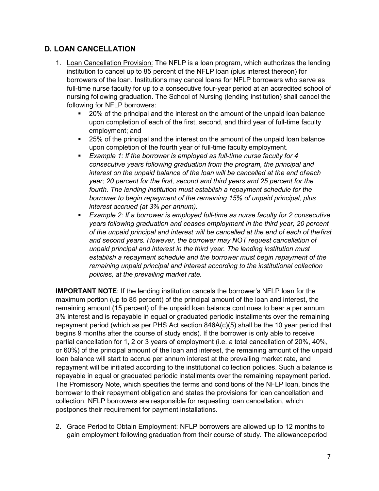### <span id="page-6-1"></span><span id="page-6-0"></span>**D. LOAN CANCELLATION**

- 1. Loan Cancellation Provision: The NFLP is a loan program, which authorizes the lending institution to cancel up to 85 percent of the NFLP loan (plus interest thereon) for borrowers of the loan. Institutions may cancel loans for NFLP borrowers who serve as full-time nurse faculty for up to a consecutive four-year period at an accredited school of nursing following graduation. The School of Nursing (lending institution) shall cancel the following for NFLP borrowers:
	- 20% of the principal and the interest on the amount of the unpaid loan balance upon completion of each of the first, second, and third year of full-time faculty employment; and
	- 25% of the principal and the interest on the amount of the unpaid loan balance upon completion of the fourth year of full-time faculty employment.
	- *Example 1: If the borrower is employed as full-time nurse faculty for 4 consecutive years following graduation from the program, the principal and interest on the unpaid balance of the loan will be cancelled at the end ofeach year; 20 percent for the first, second and third years and 25 percent for the fourth. The lending institution must establish a repayment schedule for the borrower to begin repayment of the remaining 15% of unpaid principal, plus interest accrued (at 3% per annum).*
	- *Example 2: If a borrower is employed full-time as nurse faculty for 2 consecutive years following graduation and ceases employment in the third year, 20 percent of the unpaid principal and interest will be cancelled at the end of each of thefirst and second years. However, the borrower may NOT request cancellation of unpaid principal and interest in the third year. The lending institution must establish a repayment schedule and the borrower must begin repayment of the remaining unpaid principal and interest according to the institutional collection policies, at the prevailing market rate.*

**IMPORTANT NOTE**: If the lending institution cancels the borrower's NFLP loan for the maximum portion (up to 85 percent) of the principal amount of the loan and interest, the remaining amount (15 percent) of the unpaid loan balance continues to bear a per annum 3% interest and is repayable in equal or graduated periodic installments over the remaining repayment period (which as per PHS Act section 846A(c)(5) shall be the 10 year period that begins 9 months after the course of study ends). If the borrower is only able to receive partial cancellation for 1, 2 or 3 years of employment (i.e. a total cancellation of 20%, 40%, or 60%) of the principal amount of the loan and interest, the remaining amount of the unpaid loan balance will start to accrue per annum interest at the prevailing market rate, and repayment will be initiated according to the institutional collection policies. Such a balance is repayable in equal or graduated periodic installments over the remaining repayment period. The Promissory Note, which specifies the terms and conditions of the NFLP loan, binds the borrower to their repayment obligation and states the provisions for loan cancellation and collection. NFLP borrowers are responsible for requesting loan cancellation, which postpones their requirement for payment installations.

<span id="page-6-2"></span>2. Grace Period to Obtain Employment: NFLP borrowers are allowed up to 12 months to gain employment following graduation from their course of study. The allowanceperiod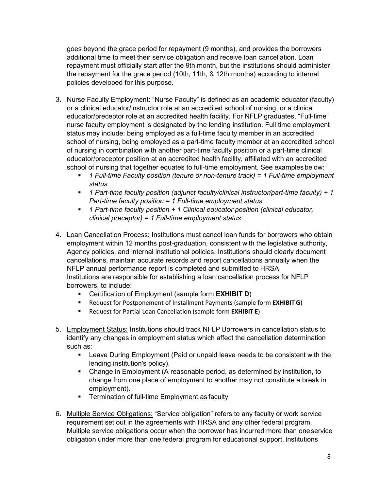goes beyond the grace period for repayment (9 months), and provides the borrowers additional time to meet their service obligation and receive loan cancellation. Loan repayment must officially start after the 9th month, but the institutions should administer the repayment for the grace period (10th, 11th, & 12th months) according to internal policies developed for this purpose.

- <span id="page-7-0"></span>3. Nurse Faculty Employment: "Nurse Faculty" is defined as an academic educator (faculty) or a clinical educator/instructor role at an accredited school of nursing, or a clinical educator/preceptor role at an accredited health facility. For NFLP graduates, "Full-time" nurse faculty employment is designated by the lending institution. Full time employment status may include: being employed as a full-time faculty member in an accredited school of nursing, being employed as a part-time faculty member at an accredited school of nursing in combination with another part-time faculty position or a part-time clinical educator/preceptor position at an accredited health facility, affiliated with an accredited school of nursing that together equates to full-time employment. See examples below:
	- *1 Full-time Faculty position (tenure or non-tenure track) = 1 Full-time employment status*
	- *1 Part-time faculty position (adjunct faculty/clinical instructor/part-time faculty) + 1 Part-time faculty position = 1 Full-time employment status*
	- *1 Part-time faculty position + 1 Clinical educator position (clinical educator, clinical preceptor) = 1 Full-time employment status*
- <span id="page-7-1"></span>4. Loan Cancellation Process: Institutions must cancel loan funds for borrowers who obtain employment within 12 months post-graduation, consistent with the legislative authority, Agency policies, and internal institutional policies. Institutions should clearly document cancellations, maintain accurate records and report cancellations annually when the NFLP annual performance report is completed and submitted to HRSA. Institutions are responsible for establishing a loan cancellation process for NFLP borrowers, to include:
	- Certification of Employment (sample form **EXHIBIT D**)
	- Request for Postponement of Installment Payments (sample form **EXHIBIT G**)
	- **Request for Partial Loan Cancellation (sample form EXHIBIT E)**
- <span id="page-7-2"></span>5. Employment Status: Institutions should track NFLP Borrowers in cancellation status to identify any changes in employment status which affect the cancellation determination such as:
	- **EXEL EXET** Leave During Employment (Paid or unpaid leave needs to be consistent with the lending institution's policy).
	- Change in Employment (A reasonable period, as determined by institution, to change from one place of employment to another may not constitute a break in employment).
	- **Termination of full-time Employment as faculty**
- <span id="page-7-3"></span>6. Multiple Service Obligations: "Service obligation" refers to any faculty or work service requirement set out in the agreements with HRSA and any other federal program. Multiple service obligations occur when the borrower has incurred more than oneservice obligation under more than one federal program for educational support. Institutions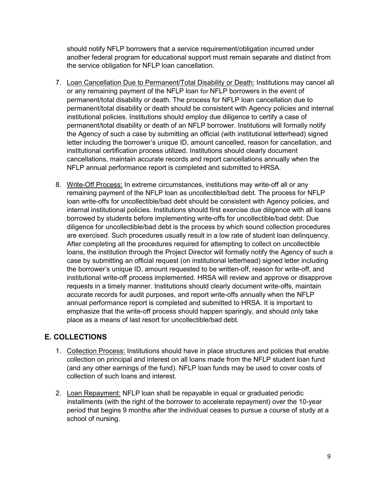should notify NFLP borrowers that a service requirement/obligation incurred under another federal program for educational support must remain separate and distinct from the service obligation for NFLP loan cancellation.

- <span id="page-8-0"></span>7. Loan Cancellation Due to Permanent/Total Disability or Death: Institutions may cancel all or any remaining payment of the NFLP loan for NFLP borrowers in the event of permanent/total disability or death. The process for NFLP loan cancellation due to permanent/total disability or death should be consistent with Agency policies and internal institutional policies. Institutions should employ due diligence to certify a case of permanent/total disability or death of an NFLP borrower. Institutions will formally notify the Agency of such a case by submitting an official (with institutional letterhead) signed letter including the borrower's unique ID, amount cancelled, reason for cancellation, and institutional certification process utilized. Institutions should clearly document cancellations, maintain accurate records and report cancellations annually when the NFLP annual performance report is completed and submitted to HRSA.
- <span id="page-8-1"></span>8. Write-Off Process: In extreme circumstances, institutions may write-off all or any remaining payment of the NFLP loan as uncollectible/bad debt. The process for NFLP loan write-offs for uncollectible/bad debt should be consistent with Agency policies, and internal institutional policies. Institutions should first exercise due diligence with all loans borrowed by students before implementing write-offs for uncollectible/bad debt. Due diligence for uncollectible/bad debt is the process by which sound collection procedures are exercised. Such procedures usually result in a low rate of student loan delinquency. After completing all the procedures required for attempting to collect on uncollectible loans, the institution through the Project Director will formally notify the Agency of such a case by submitting an official request (on institutional letterhead) signed letter including the borrower's unique ID, amount requested to be written-off, reason for write-off, and institutional write-off process implemented. HRSA will review and approve or disapprove requests in a timely manner. Institutions should clearly document write-offs, maintain accurate records for audit purposes, and report write-offs annually when the NFLP annual performance report is completed and submitted to HRSA. It is important to emphasize that the write-off process should happen sparingly, and should only take place as a means of last resort for uncollectible/bad debt.

## <span id="page-8-3"></span><span id="page-8-2"></span>**E. COLLECTIONS**

- 1. Collection Process: Institutions should have in place structures and policies that enable collection on principal and interest on all loans made from the NFLP student loan fund (and any other earnings of the fund). NFLP loan funds may be used to cover costs of collection of such loans and interest.
- <span id="page-8-4"></span>2. Loan Repayment: NFLP loan shall be repayable in equal or graduated periodic installments (with the right of the borrower to accelerate repayment) over the 10-year period that begins 9 months after the individual ceases to pursue a course of study at a school of nursing.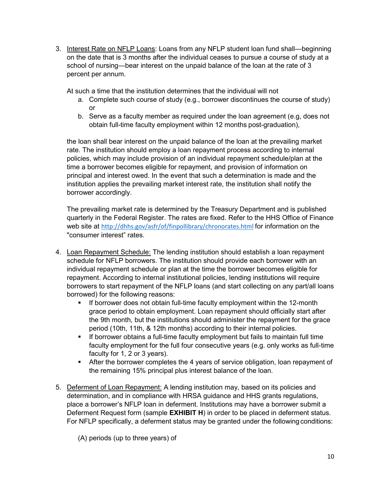<span id="page-9-0"></span>3. Interest Rate on NFLP Loans: Loans from any NFLP student loan fund shall—beginning on the date that is 3 months after the individual ceases to pursue a course of study at a school of nursing—bear interest on the unpaid balance of the loan at the rate of 3 percent per annum.

At such a time that the institution determines that the individual will not

- a. Complete such course of study (e.g., borrower discontinues the course of study) or
- b. Serve as a faculty member as required under the loan agreement (e.g, does not obtain full-time faculty employment within 12 months post-graduation),

the loan shall bear interest on the unpaid balance of the loan at the prevailing market rate. The institution should employ a loan repayment process according to internal policies, which may include provision of an individual repayment schedule/plan at the time a borrower becomes eligible for repayment, and provision of information on principal and interest owed. In the event that such a determination is made and the institution applies the prevailing market interest rate, the institution shall notify the borrower accordingly.

The prevailing market rate is determined by the Treasury Department and is published quarterly in the Federal Register. The rates are fixed. Refer to the HHS Office of Finance web site at <http://dhhs.gov/asfr/of/finpollibrary/chronorates.html> for information on the "consumer interest" rates.

- <span id="page-9-1"></span>4. Loan Repayment Schedule: The lending institution should establish a loan repayment schedule for NFLP borrowers. The institution should provide each borrower with an individual repayment schedule or plan at the time the borrower becomes eligible for repayment. According to internal institutional policies, lending institutions will require borrowers to start repayment of the NFLP loans (and start collecting on any part/all loans borrowed) for the following reasons:
	- **If borrower does not obtain full-time faculty employment within the 12-month** grace period to obtain employment. Loan repayment should officially start after the 9th month, but the institutions should administer the repayment for the grace period (10th, 11th, & 12th months) according to their internal policies.
	- **If borrower obtains a full-time faculty employment but fails to maintain full time** faculty employment for the full four consecutive years (e.g. only works as full-time faculty for 1, 2 or 3 years).
	- After the borrower completes the 4 years of service obligation, loan repayment of the remaining 15% principal plus interest balance of the loan.
- <span id="page-9-2"></span>5. Deferment of Loan Repayment: A lending institution may, based on its policies and determination, and in compliance with HRSA guidance and HHS grants regulations, place a borrower's NFLP loan in deferment. Institutions may have a borrower submit a Deferment Request form (sample **EXHIBIT H**) in order to be placed in deferment status. For NFLP specifically, a deferment status may be granted under the following conditions:

(A) periods (up to three years) of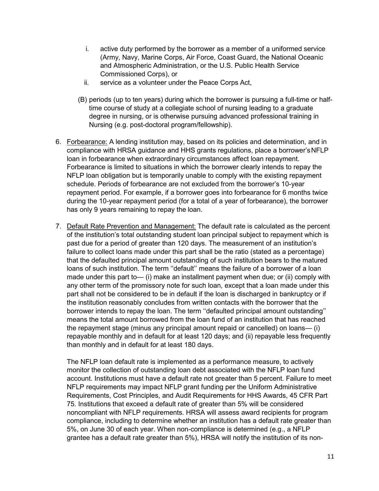- i. active duty performed by the borrower as a member of a uniformed service (Army, Navy, Marine Corps, Air Force, Coast Guard, the National Oceanic and Atmospheric Administration, or the U.S. Public Health Service Commissioned Corps), or
- ii. service as a volunteer under the Peace Corps Act,
- (B) periods (up to ten years) during which the borrower is pursuing a full-time or halftime course of study at a collegiate school of nursing leading to a graduate degree in nursing, or is otherwise pursuing advanced professional training in Nursing (e.g. post-doctoral program/fellowship).
- <span id="page-10-0"></span>6. Forbearance: A lending institution may, based on its policies and determination, and in compliance with HRSA guidance and HHS grants regulations, place a borrower'sNFLP loan in forbearance when extraordinary circumstances affect loan repayment. Forbearance is limited to situations in which the borrower clearly intends to repay the NFLP loan obligation but is temporarily unable to comply with the existing repayment schedule. Periods of forbearance are not excluded from the borrower's 10-year repayment period. For example, if a borrower goes into forbearance for 6 months twice during the 10-year repayment period (for a total of a year of forbearance), the borrower has only 9 years remaining to repay the loan.
- <span id="page-10-1"></span>7. Default Rate Prevention and Management: The default rate is calculated as the percent of the institution's total outstanding student loan principal subject to repayment which is past due for a period of greater than 120 days. The measurement of an institution's failure to collect loans made under this part shall be the ratio (stated as a percentage) that the defaulted principal amount outstanding of such institution bears to the matured loans of such institution. The term ''default'' means the failure of a borrower of a loan made under this part to— (i) make an installment payment when due; or (ii) comply with any other term of the promissory note for such loan, except that a loan made under this part shall not be considered to be in default if the loan is discharged in bankruptcy or if the institution reasonably concludes from written contacts with the borrower that the borrower intends to repay the loan. The term ''defaulted principal amount outstanding'' means the total amount borrowed from the loan fund of an institution that has reached the repayment stage (minus any principal amount repaid or cancelled) on loans— (i) repayable monthly and in default for at least 120 days; and (ii) repayable less frequently than monthly and in default for at least 180 days.

The NFLP loan default rate is implemented as a performance measure, to actively monitor the collection of outstanding loan debt associated with the NFLP loan fund account. Institutions must have a default rate not greater than 5 percent. Failure to meet NFLP requirements may impact NFLP grant funding per the Uniform Administrative Requirements, Cost Principles, and Audit Requirements for HHS Awards, 45 CFR Part 75. Institutions that exceed a default rate of greater than 5% will be considered noncompliant with NFLP requirements. HRSA will assess award recipients for program compliance, including to determine whether an institution has a default rate greater than 5%, on June 30 of each year. When non-compliance is determined (e.g., a NFLP grantee has a default rate greater than 5%), HRSA will notify the institution of its non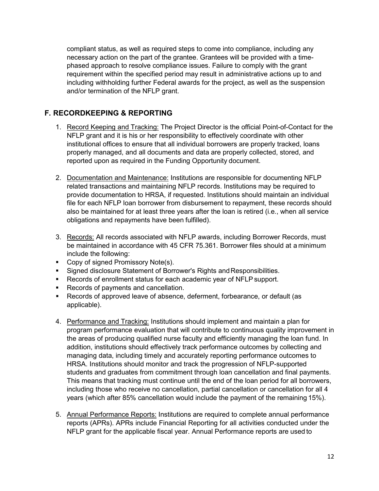compliant status, as well as required steps to come into compliance, including any necessary action on the part of the grantee. Grantees will be provided with a timephased approach to resolve compliance issues. Failure to comply with the grant requirement within the specified period may result in administrative actions up to and including withholding further Federal awards for the project, as well as the suspension and/or termination of the NFLP grant.

#### <span id="page-11-0"></span>**F. RECORDKEEPING & REPORTING**

- 1. Record Keeping and Tracking: The Project Director is the official Point-of-Contact for the NFLP grant and it is his or her responsibility to effectively coordinate with other institutional offices to ensure that all individual borrowers are properly tracked, loans properly managed, and all documents and data are properly collected, stored, and reported upon as required in the Funding Opportunity document.
- <span id="page-11-1"></span>2. Documentation and Maintenance: Institutions are responsible for documenting NFLP related transactions and maintaining NFLP records. Institutions may be required to provide documentation to HRSA, if requested. Institutions should maintain an individual file for each NFLP loan borrower from disbursement to repayment, these records should also be maintained for at least three years after the loan is retired (i.e., when all service obligations and repayments have been fulfilled).
- <span id="page-11-2"></span>3. Records: All records associated with NFLP awards, including Borrower Records, must be maintained in accordance with 45 CFR 75.361. Borrower files should at a minimum include the following:
- Copy of signed Promissory Note(s).
- **Signed disclosure Statement of Borrower's Rights and Responsibilities.**
- **Records of enrollment status for each academic year of NFLP support.**
- Records of payments and cancellation.
- Records of approved leave of absence, deferment, forbearance, or default (as applicable).
- <span id="page-11-3"></span>4. Performance and Tracking: Institutions should implement and maintain a plan for program performance evaluation that will contribute to continuous quality improvement in the areas of producing qualified nurse faculty and efficiently managing the loan fund. In addition, institutions should effectively track performance outcomes by collecting and managing data, including timely and accurately reporting performance outcomes to HRSA. Institutions should monitor and track the progression of NFLP-supported students and graduates from commitment through loan cancellation and final payments. This means that tracking must continue until the end of the loan period for all borrowers, including those who receive no cancellation, partial cancellation or cancellation for all 4 years (which after 85% cancellation would include the payment of the remaining 15%).
- <span id="page-11-4"></span>5. Annual Performance Reports: Institutions are required to complete annual performance reports (APRs). APRs include Financial Reporting for all activities conducted under the NFLP grant for the applicable fiscal year. Annual Performance reports are used to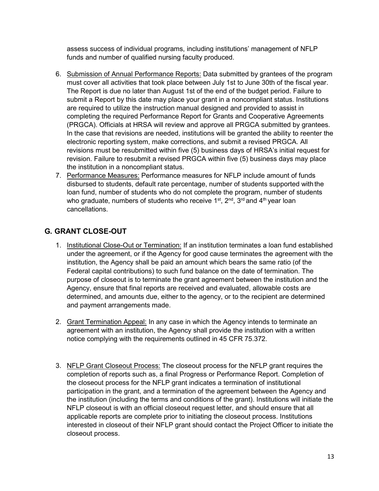assess success of individual programs, including institutions' management of NFLP funds and number of qualified nursing faculty produced.

- <span id="page-12-0"></span>6. Submission of Annual Performance Reports: Data submitted by grantees of the program must cover all activities that took place between July 1st to June 30th of the fiscal year. The Report is due no later than August 1st of the end of the budget period. Failure to submit a Report by this date may place your grant in a noncompliant status. Institutions are required to utilize the instruction manual designed and provided to assist in completing the required Performance Report for Grants and Cooperative Agreements (PRGCA). Officials at HRSA will review and approve all PRGCA submitted by grantees. In the case that revisions are needed, institutions will be granted the ability to reenter the electronic reporting system, make corrections, and submit a revised PRGCA. All revisions must be resubmitted within five (5) business days of HRSA's initial request for revision. Failure to resubmit a revised PRGCA within five (5) business days may place the institution in a noncompliant status.
- <span id="page-12-1"></span>7. Performance Measures: Performance measures for NFLP include amount of funds disbursed to students, default rate percentage, number of students supported withthe loan fund, number of students who do not complete the program, number of students who graduate, numbers of students who receive  $1<sup>st</sup>$ ,  $2<sup>nd</sup>$ ,  $3<sup>rd</sup>$  and  $4<sup>th</sup>$  year loan cancellations.

## <span id="page-12-3"></span><span id="page-12-2"></span>**G. GRANT CLOSE-OUT**

- 1. Institutional Close-Out or Termination: If an institution terminates a loan fund established under the agreement, or if the Agency for good cause terminates the agreement with the institution, the Agency shall be paid an amount which bears the same ratio (of the Federal capital contributions) to such fund balance on the date of termination. The purpose of closeout is to terminate the grant agreement between the institution and the Agency, ensure that final reports are received and evaluated, allowable costs are determined, and amounts due, either to the agency, or to the recipient are determined and payment arrangements made.
- <span id="page-12-4"></span>2. Grant Termination Appeal: In any case in which the Agency intends to terminate an agreement with an institution, the Agency shall provide the institution with a written notice complying with the requirements outlined in 45 CFR 75.372.
- <span id="page-12-5"></span>3. NFLP Grant Closeout Process: The closeout process for the NFLP grant requires the completion of reports such as, a final Progress or Performance Report. Completion of the closeout process for the NFLP grant indicates a termination of institutional participation in the grant, and a termination of the agreement between the Agency and the institution (including the terms and conditions of the grant). Institutions will initiate the NFLP closeout is with an official closeout request letter, and should ensure that all applicable reports are complete prior to initiating the closeout process. Institutions interested in closeout of their NFLP grant should contact the Project Officer to initiate the closeout process.